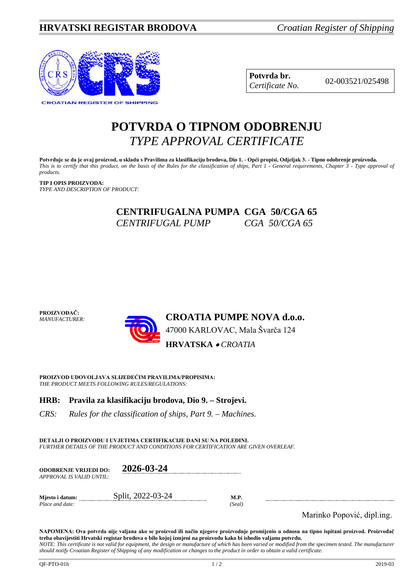

**Potvrda br.** 02-003521/025498 *Certificate No.*

# **POTVRDA O TIPNOM ODOBRENJU** *TYPE APPROVAL CERTIFICATE*

**Potvrđuje se da je ovaj proizvod, u skladu s Pravilima za klasifikaciju brodova, Dio 1. - Opći propisi, Odjeljak 3. - Tipno odobrenje proizvoda.** *This is to certify that this product, on the basis of the Rules for the classification of ships, Part 1 - General requirements, Chapter 3 - Type approval of products.*

**TIP I OPIS PROIZVODA:** *TYPE AND DESCRIPTION OF PRODUCT:*

> **CENTRIFUGALNA PUMPA CGA 50/CGA 65**  *CENTRIFUGAL PUMP CGA 50/CGA 65*



**PROIZVOD UDOVOLJAVA SLIJEDEĆIM PRAVILIMA/PROPISIMA:** *THE PRODUCT MEETS FOLLOWING RULES/REGULATIONS:*

# **HRB: Pravila za klasifikaciju brodova, Dio 9. – Strojevi.**

*CRS: Rules for the classification of ships, Part 9. – Machines.*

**DETALJI O PROIZVODU I UVJETIMA CERTIFIKACIJE DANI SU NA POLEĐINI.** *FURTHER DETAILS OF THE PRODUCT AND CONDITIONS FOR CERTIFICATION ARE GIVEN OVERLEAF.*

| <b>ODOBRENJE VRLJEDI DO:</b><br>APPROVAL IS VALID UNTIL: | 2026-03-24        |                       |
|----------------------------------------------------------|-------------------|-----------------------|
| Miesto i datum:<br>Place and date:                       | Split, 2022-03-24 | <b>M.P.</b><br>(Seal) |

Marinko Popović, dipl.ing.

**NAPOMENA: Ova potvrda nije valjana ako se proizvod ili način njegove proizvodnje promijenio u odnosu na tipno ispitani proizvod. Proizvođač treba obavijestiti Hrvatski registar brodova o bilo kojoj izmjeni na proizvodu kako bi ishodio valjanu potvrdu.** *NOTE: This certificate is not valid for equipment, the design or manufacture of which has been varied or modified from the specimen tested. The manufacturer* 

*should notify Croatian Register of Shipping of any modification or changes to the product in order to obtain a valid certificate.*

**PROIZVOĐAČ:**